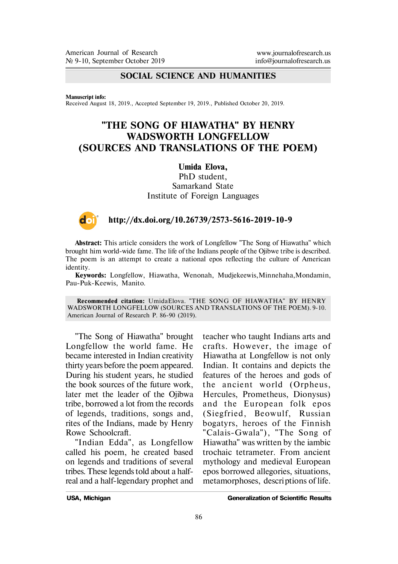## **SOCIAL SCIENCE AND HUMANITIES**

#### **Manuscript info:**

Received August 18, 2019., Accepted September 19, 2019., Published October 20, 2019.

# **"THE SONG OF HIAWATHA" BY HENRY WADSWORTH LONGFELLOW (SOURCES AND TRANSLATIONS OF THE POEM)**

#### **Umida Elova,**

PhD student. Samarkand State Institute of Foreign Languages



#### **http://dx.doi.org/10.26739/2573-5616-2019-10-9**

**Abstract:** This article considers the work of Longfellow "The Song of Hiawatha" which brought him world-wide fame. The life of the Indians people of the Ojibwe tribe is described. The poem is an attempt to create a national epos reflecting the culture of American identity.

**Keywords:** Longfellow, Hiawatha, Wenonah, Mudjekeewis,Minnehaha,Mondamin, Pau-Puk-Keewis, Manito.

**Recommended citation:** UmidaElova. "THE SONG OF HIAWATHA" BY HENRY WADSWORTH LONGFELLOW (SOURCES AND TRANSLATIONS OF THE POEM). 9-10. American Journal of Research P. 86-90 (2019).

"The Song of Hiawatha" brought Longfellow the world fame. He became interested in Indian creativity thirty years before the poem appeared. During his student years, he studied the book sources of the future work, later met the leader of the Ojibwa tribe, borrowed a lot from the records of legends, traditions, songs and, rites of the Indians, made by Henry Rowe Schoolcraft.

"Indian Edda", as Longfellow called his poem, he created based on legends and traditions of several tribes. These legends told about a halfreal and a half-legendary prophet and

teacher who taught Indians arts and crafts. However, the image of Hiawatha at Longfellow is not only Indian. It contains and depicts the features of the heroes and gods of the ancient world (Orpheus, Hercules, Prometheus, Dionysus) and the European folk epos (Siegfried, Beowulf, Russian bogatyrs, heroes of the Finnish "Calais-Gwala"), "The Song of Hiawatha" was written by the iambic trochaic tetrameter. From ancient mythology and medieval European epos borrowed allegories, situations, metamorphoses, descriptions of life.

**USA, Michigan Generalization of Scientific Results**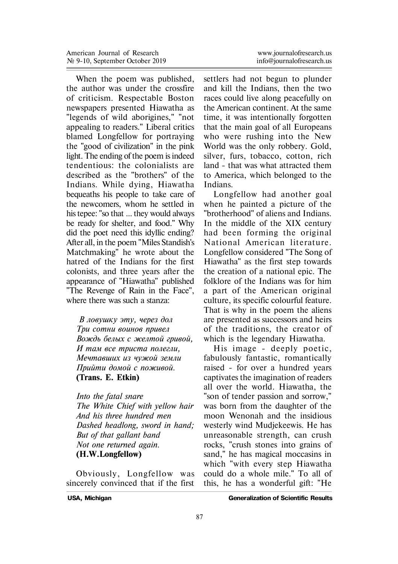When the poem was published, the author was under the crossfire of criticism. Respectable Boston newspapers presented Hiawatha as "legends of wild aborigines," "not appealing to readers." Liberal critics blamed Longfellow for portraying the "good of civilization" in the pink light. The ending of the poem is indeed tendentious: the colonialists are described as the "brothers" of the Indians. While dying, Hiawatha bequeaths his people to take care of the newcomers, whom he settled in his tepee: "so that ... they would always be ready for shelter, and food." Why did the poet need this idyllic ending? After all, in the poem "Miles Standish's Matchmaking" he wrote about the hatred of the Indians for the first colonists, and three years after the appearance of "Hiawatha" published "The Revenge of Rain in the Face", where there was such a stanza:

*В ловушку* эту, через дол *Òðè ñîòíè âîèíîâ ïðèâåë* Вождь белых с желтой гривой, *È òàì âñå òðèñòà ïîëåãëè,* Мечтавших из чужой земли Прийти домой с поживой. **(Trans. E. Etkin)**

*Into the fatal snare The White Chief with yellow hair And his three hundred men Dashed headlong, sword in hand; But of that gallant band Not one returned again.* **(H.W.Longfellow)**

Obviously, Longfellow was sincerely convinced that if the first settlers had not begun to plunder and kill the Indians, then the two races could live along peacefully on the American continent. At the same time, it was intentionally forgotten that the main goal of all Europeans who were rushing into the New World was the only robbery. Gold, silver, furs, tobacco, cotton, rich land - that was what attracted them to America, which belonged to the Indians.

Longfellow had another goal when he painted a picture of the "brotherhood" of aliens and Indians. In the middle of the XIX century had been forming the original National American literature. Longfellow considered "The Song of Hiawatha" as the first step towards the creation of a national epic. The folklore of the Indians was for him a part of the American original culture, its specific colourful feature. That is why in the poem the aliens are presented as successors and heirs of the traditions, the creator of which is the legendary Hiawatha.

His image - deeply poetic, fabulously fantastic, romantically raised - for over a hundred years captivates the imagination of readers all over the world. Hiawatha, the "son of tender passion and sorrow," was born from the daughter of the moon Wenonah and the insidious westerly wind Mudjekeewis. He has unreasonable strength, can crush rocks, "crush stones into grains of sand," he has magical moccasins in which "with every step Hiawatha could do a whole mile." To all of this, he has a wonderful gift: "He

**USA, Michigan Generalization of Scientific Results**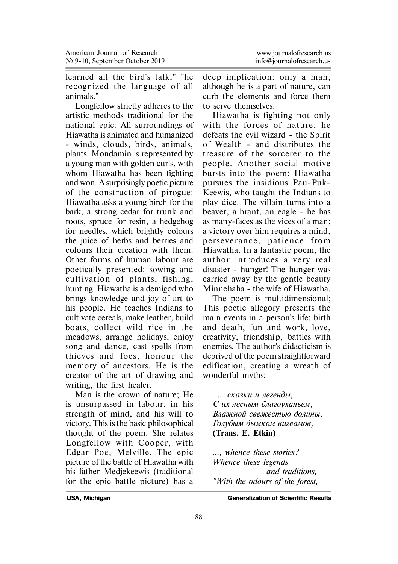learned all the bird's talk," "he recognized the language of all animals."

Longfellow strictly adheres to the artistic methods traditional for the national epic: All surroundings of Hiawatha is animated and humanized - winds, clouds, birds, animals, plants. Mondamin is represented by a young man with golden curls, with whom Hiawatha has been fighting and won. A surprisingly poetic picture of the construction of pirogue: Hiawatha asks a young birch for the bark, a strong cedar for trunk and roots, spruce for resin, a hedgehog for needles, which brightly colours the juice of herbs and berries and colours their creation with them. Other forms of human labour are poetically presented: sowing and cultivation of plants, fishing, hunting. Hiawatha is a demigod who brings knowledge and joy of art to his people. He teaches Indians to cultivate cereals, make leather, build boats, collect wild rice in the meadows, arrange holidays, enjoy song and dance, cast spells from thieves and foes, honour the memory of ancestors. He is the creator of the art of drawing and writing, the first healer.

Man is the crown of nature; He is unsurpassed in labour, in his strength of mind, and his will to victory. This is the basic philosophical thought of the poem. She relates Longfellow with Cooper, with Edgar Poe, Melville. The epic picture of the battle of Hiawatha with his father Medjekeewis (traditional for the epic battle picture) has a

deep implication: only a man, although he is a part of nature, can curb the elements and force them to serve themselves.

Hiawatha is fighting not only with the forces of nature; he defeats the evil wizard - the Spirit of Wealth - and distributes the treasure of the sorcerer to the people. Another social motive bursts into the poem: Hiawatha pursues the insidious Pau-Puk-Keewis, who taught the Indians to play dice. The villain turns into a beaver, a brant, an eagle - he has as many-faces as the vices of a man; a victory over him requires a mind, per seve rance , pa tience f rom Hiawatha. In a fantastic poem, the author introduces a very real disaster - hunger! The hunger was carried away by the gentle beauty Minnehaha - the wife of Hiawatha.

The poem is multidimensional; This poetic allegory presents the main events in a person's life: birth and death, fun and work, love, creativity, friendship, battles with enemies. The author's didacticism is deprived of the poem straightforward edification, creating a wreath of wonderful myths:

*.... ñêàçêè è ëåãåíäû, Ñ èõ ëåñíûì áëàãîóõàíüåì, Âëàæíîé ñâåæåñòüþ äîëèíû, Ãîëóáûì äûìêîì âèãâàìîâ,* **(Trans. E. Etkin)**

*..., whence these stories? Whence these legends and traditions, "With the odours of the forest,*

**USA, Michigan Generalization of Scientific Results**